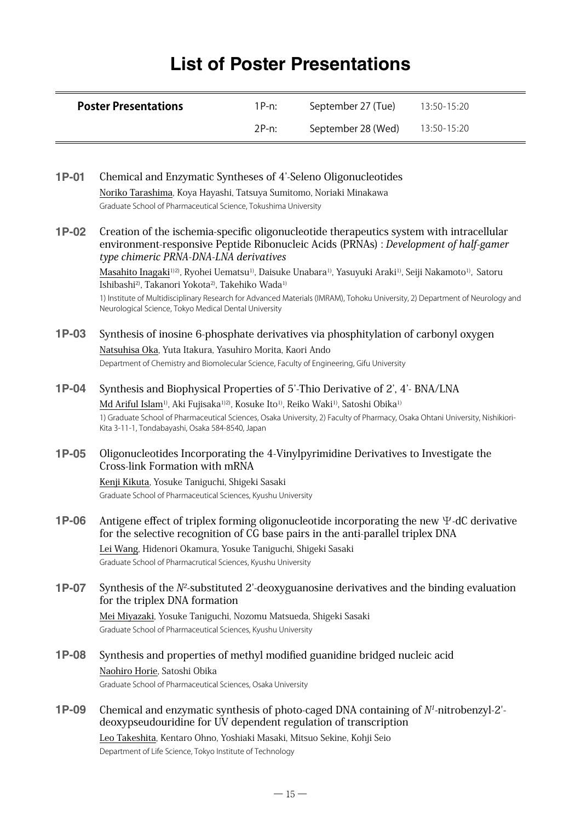# **List of Poster Presentations**

| <b>Poster Presentations</b> | 1P-n: | September 27 (Tue) | $13:50 - 15:20$ |
|-----------------------------|-------|--------------------|-----------------|
|                             | 2P-n: | September 28 (Wed) | 13:50-15:20     |

| 1P-01   | Chemical and Enzymatic Syntheses of 4'-Seleno Oligonucleotides                                                                                                                                                                                                 |
|---------|----------------------------------------------------------------------------------------------------------------------------------------------------------------------------------------------------------------------------------------------------------------|
|         | Noriko Tarashima, Koya Hayashi, Tatsuya Sumitomo, Noriaki Minakawa                                                                                                                                                                                             |
|         | Graduate School of Pharmaceutical Science, Tokushima University                                                                                                                                                                                                |
| 1P-02   | Creation of the ischemia-specific oligonucleotide therapeutics system with intracellular<br>environment-responsive Peptide Ribonucleic Acids (PRNAs) : Development of half-gamer<br>type chimeric PRNA-DNA-LNA derivatives                                     |
|         | Masahito Inagaki <sup>112</sup> , Ryohei Uematsu <sup>1)</sup> , Daisuke Unabara <sup>1)</sup> , Yasuyuki Araki <sup>1)</sup> , Seiji Nakamoto <sup>1)</sup> , Satoru<br>Ishibashi <sup>2)</sup> , Takanori Yokota <sup>2)</sup> , Takehiko Wada <sup>1)</sup> |
|         | 1) Institute of Multidisciplinary Research for Advanced Materials (IMRAM), Tohoku University, 2) Department of Neurology and<br>Neurological Science, Tokyo Medical Dental University                                                                          |
| 1P-03   | Synthesis of inosine 6-phosphate derivatives via phosphitylation of carbonyl oxygen                                                                                                                                                                            |
|         | Natsuhisa Oka, Yuta Itakura, Yasuhiro Morita, Kaori Ando                                                                                                                                                                                                       |
|         | Department of Chemistry and Biomolecular Science, Faculty of Engineering, Gifu University                                                                                                                                                                      |
| $1P-04$ | Synthesis and Biophysical Properties of 5'-Thio Derivative of 2', 4'- BNA/LNA                                                                                                                                                                                  |
|         | Md Ariful Islam <sup>1)</sup> , Aki Fujisaka <sup>1)2)</sup> , Kosuke Ito <sup>1)</sup> , Reiko Waki <sup>1)</sup> , Satoshi Obika <sup>1)</sup>                                                                                                               |
|         | 1) Graduate School of Pharmaceutical Sciences, Osaka University, 2) Faculty of Pharmacy, Osaka Ohtani University, Nishikiori-<br>Kita 3-11-1, Tondabayashi, Osaka 584-8540, Japan                                                                              |
| 1P-05   | Oligonucleotides Incorporating the 4-Vinylpyrimidine Derivatives to Investigate the<br>Cross-link Formation with mRNA                                                                                                                                          |
|         | Kenji Kikuta, Yosuke Taniguchi, Shigeki Sasaki                                                                                                                                                                                                                 |
|         | Graduate School of Pharmaceutical Sciences, Kyushu University                                                                                                                                                                                                  |
| 1P-06   | Antigene effect of triplex forming oligonucleotide incorporating the new $\Psi$ -dC derivative<br>for the selective recognition of CG base pairs in the anti-parallel triplex DNA                                                                              |
|         | Lei Wang, Hidenori Okamura, Yosuke Taniguchi, Shigeki Sasaki                                                                                                                                                                                                   |
|         | Graduate School of Pharmacrutical Sciences, Kyushu University                                                                                                                                                                                                  |
| 1P-07   | Synthesis of the $N^2$ -substituted 2'-deoxyguanosine derivatives and the binding evaluation<br>for the triplex DNA formation                                                                                                                                  |
|         | Mei Miyazaki, Yosuke Taniguchi, Nozomu Matsueda, Shigeki Sasaki                                                                                                                                                                                                |
|         | Graduate School of Pharmaceutical Sciences, Kyushu University                                                                                                                                                                                                  |
| 1P-08   | Synthesis and properties of methyl modified guanidine bridged nucleic acid                                                                                                                                                                                     |
|         | Naohiro Horie, Satoshi Obika                                                                                                                                                                                                                                   |
|         | Graduate School of Pharmaceutical Sciences, Osaka University                                                                                                                                                                                                   |
| 1P-09   | Chemical and enzymatic synthesis of photo-caged DNA containing of $N1$ -nitrobenzyl-2'-                                                                                                                                                                        |
|         | deoxypseudouridine for UV dependent regulation of transcription                                                                                                                                                                                                |
|         | Leo Takeshita, Kentaro Ohno, Yoshiaki Masaki, Mitsuo Sekine, Kohji Seio                                                                                                                                                                                        |
|         | Department of Life Science, Tokyo Institute of Technology                                                                                                                                                                                                      |
|         |                                                                                                                                                                                                                                                                |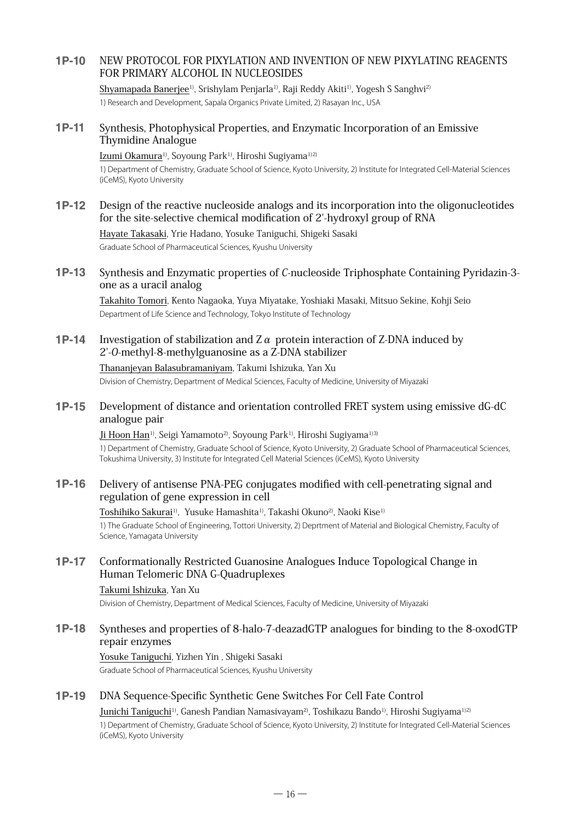## **1P-10** NEW PROTOCOL FOR PIXYLATION AND INVENTION OF NEW PIXYLATING REAGENTS FOR PRIMARY ALCOHOL IN NUCLEOSIDES

Shyamapada Banerjee<sup>1)</sup>, Srishylam Penjarla<sup>1)</sup>, Raji Reddy Akiti<sup>1)</sup>, Yogesh S Sanghvi<sup>2)</sup> 1) Research and Development, Sapala Organics Private Limited, 2) Rasayan Inc., USA

#### **1P-11** Synthesis, Photophysical Properties, and Enzymatic Incorporation of an Emissive Thymidine Analogue

#### Izumi Okamura<sup>1)</sup>, Soyoung Park<sup>1)</sup>, Hiroshi Sugiyama<sup>1)2)</sup>

1) Department of Chemistry, Graduate School of Science, Kyoto University, 2) Institute for Integrated Cell-Material Sciences (iCeMS), Kyoto University

**1P-12** Design of the reactive nucleoside analogs and its incorporation into the oligonucleotides for the site-selective chemical modification of 2'-hydroxyl group of RNA

Hayate Takasaki, Yrie Hadano, Yosuke Taniguchi, Shigeki Sasaki Graduate School of Pharmaceutical Sciences, Kyushu University

#### **1P-13** Synthesis and Enzymatic properties of C-nucleoside Triphosphate Containing Pyridazin-3 one as a uracil analog

Takahito Tomori, Kento Nagaoka, Yuya Miyatake, Yoshiaki Masaki, Mitsuo Sekine, Kohji Seio Department of Life Science and Technology, Tokyo Institute of Technology

**1P-14** Investigation of stabilization and Zα protein interaction of Z-DNA induced by 2'-O-methyl-8-methylguanosine as a Z-DNA stabilizer

Thananjeyan Balasubramaniyam, Takumi Ishizuka, Yan Xu Division of Chemistry, Department of Medical Sciences, Faculty of Medicine, University of Miyazaki

#### **1P-15** Development of distance and orientation controlled FRET system using emissive dG-dC analogue pair

Ji Hoon Han<sup>1)</sup>, Seigi Yamamoto<sup>2)</sup>, Soyoung Park<sup>1)</sup>, Hiroshi Sugiyama<sup>1)3)</sup> 1) Department of Chemistry, Graduate School of Science, Kyoto University, 2) Graduate School of Pharmaceutical Sciences, Tokushima University, 3) Institute for Integrated Cell Material Sciences (iCeMS), Kyoto University

#### **1P-16** Delivery of antisense PNA-PEG conjugates modified with cell-penetrating signal and regulation of gene expression in cell

#### Toshihiko Sakurai<sup>1)</sup>, Yusuke Hamashita<sup>1)</sup>, Takashi Okuno<sup>2)</sup>, Naoki Kise<sup>1)</sup>

1) The Graduate School of Engineering, Tottori University, 2) Deprtment of Material and Biological Chemistry, Faculty of Science, Yamagata University

### **1P-17** Conformationally Restricted Guanosine Analogues Induce Topological Change in Human Telomeric DNA G-Quadruplexes

#### Takumi Ishizuka, Yan Xu

Division of Chemistry, Department of Medical Sciences, Faculty of Medicine, University of Miyazaki

#### **1P-18** Syntheses and properties of 8-halo-7-deazadGTP analogues for binding to the 8-oxodGTP repair enzymes

#### Yosuke Taniguchi, Yizhen Yin , Shigeki Sasaki

Graduate School of Pharmaceutical Sciences, Kyushu University

#### **1P-19** DNA Sequence-Specific Synthetic Gene Switches For Cell Fate Control

Junichi Taniguchi1), Ganesh Pandian Namasivayam2), Toshikazu Bando1), Hiroshi Sugiyama1)2) 1) Department of Chemistry, Graduate School of Science, Kyoto University, 2) Institute for Integrated Cell-Material Sciences (iCeMS), Kyoto University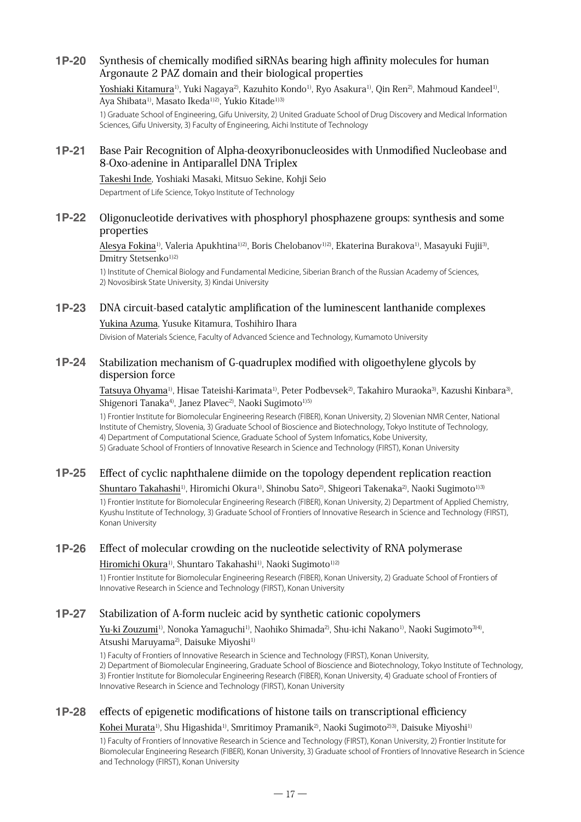### **1P-20** Synthesis of chemically modified siRNAs bearing high affinity molecules for human Argonaute 2 PAZ domain and their biological properties

Yoshiaki Kitamura<sup>1)</sup>, Yuki Nagaya<sup>2)</sup>, Kazuhito Kondo<sup>1)</sup>, Ryo Asakura<sup>1)</sup>, Qin Ren<sup>2</sup>), Mahmoud Kandeel<sup>1)</sup>, Aya Shibata<sup>1)</sup>, Masato Ikeda<sup>1)2)</sup>, Yukio Kitade<sup>1)3)</sup>

1) Graduate School of Engineering, Gifu University, 2) United Graduate School of Drug Discovery and Medical Information Sciences, Gifu University, 3) Faculty of Engineering, Aichi Institute of Technology

#### **1P-21** Base Pair Recognition of Alpha-deoxyribonucleosides with Unmodified Nucleobase and 8-Oxo-adenine in Antiparallel DNA Triplex

Takeshi Inde, Yoshiaki Masaki, Mitsuo Sekine, Kohji Seio Department of Life Science, Tokyo Institute of Technology

#### **1P-22** Oligonucleotide derivatives with phosphoryl phosphazene groups: synthesis and some properties

Alesya Fokina<sup>1)</sup>, Valeria Apukhtina<sup>1)2)</sup>, Boris Chelobanov<sup>1)2)</sup>, Ekaterina Burakova<sup>1)</sup>, Masayuki Fujii<sup>3)</sup>, Dmitry Stetsenko<sup>1)2)</sup>

1) Institute of Chemical Biology and Fundamental Medicine, Siberian Branch of the Russian Academy of Sciences, 2) Novosibirsk State University, 3) Kindai University

**1P-23** DNA circuit-based catalytic amplification of the luminescent lanthanide complexes Yukina Azuma, Yusuke Kitamura, Toshihiro Ihara

Division of Materials Science, Faculty of Advanced Science and Technology, Kumamoto University

#### **1P-24** Stabilization mechanism of G-quadruplex modified with oligoethylene glycols by dispersion force

Tatsuya Ohyama<sup>1)</sup>, Hisae Tateishi-Karimata<sup>1)</sup>, Peter Podbevsek<sup>2)</sup>, Takahiro Muraoka<sup>3)</sup>, Kazushi Kinbara<sup>3</sup>, Shigenori Tanaka<sup>4)</sup>, Janez Plavec<sup>2)</sup>, Naoki Sugimoto<sup>1)5)</sup>

1) Frontier Institute for Biomolecular Engineering Research (FIBER), Konan University, 2) Slovenian NMR Center, National Institute of Chemistry, Slovenia, 3) Graduate School of Bioscience and Biotechnology, Tokyo Institute of Technology, 4) Department of Computational Science, Graduate School of System Infomatics, Kobe University, 5) Graduate School of Frontiers of Innovative Research in Science and Technology (FIRST), Konan University

### **1P-25** Effect of cyclic naphthalene diimide on the topology dependent replication reaction Shuntaro Takahashi<sup>1)</sup>, Hiromichi Okura<sup>1)</sup>, Shinobu Sato<sup>2)</sup>, Shigeori Takenaka<sup>2)</sup>, Naoki Sugimoto<sup>1)3)</sup>

1) Frontier Institute for Biomolecular Engineering Research (FIBER), Konan University, 2) Department of Applied Chemistry, Kyushu Institute of Technology, 3) Graduate School of Frontiers of Innovative Research in Science and Technology (FIRST), Konan University

## **1P-26** Effect of molecular crowding on the nucleotide selectivity of RNA polymerase

#### Hiromichi Okura<sup>1)</sup>, Shuntaro Takahashi<sup>1)</sup>, Naoki Sugimoto<sup>1)2)</sup>

1) Frontier Institute for Biomolecular Engineering Research (FIBER), Konan University, 2) Graduate School of Frontiers of Innovative Research in Science and Technology (FIRST), Konan University

### **1P-27** Stabilization of A-form nucleic acid by synthetic cationic copolymers

Yu-ki Zouzumi<sup>1)</sup>, Nonoka Yamaguchi<sup>1)</sup>, Naohiko Shimada<sup>2)</sup>, Shu-ichi Nakano<sup>1)</sup>, Naoki Sugimoto3<sup>14)</sup>, Atsushi Maruyama<sup>2)</sup>, Daisuke Miyoshi<sup>1)</sup>

1) Faculty of Frontiers of Innovative Research in Science and Technology (FIRST), Konan University,

2) Department of Biomolecular Engineering, Graduate School of Bioscience and Biotechnology, Tokyo Institute of Technology, 3) Frontier Institute for Biomolecular Engineering Research (FIBER), Konan University, 4) Graduate school of Frontiers of Innovative Research in Science and Technology (FIRST), Konan University

### **1P-28** effects of epigenetic modifications of histone tails on transcriptional efficiency

Kohei Murata<sup>1)</sup>, Shu Higashida<sup>1)</sup>, Smritimoy Pramanik<sup>2)</sup>, Naoki Sugimoto<sup>213)</sup>, Daisuke Miyoshi<sup>11</sup>

1) Faculty of Frontiers of Innovative Research in Science and Technology (FIRST), Konan University, 2) Frontier Institute for Biomolecular Engineering Research (FIBER), Konan University, 3) Graduate school of Frontiers of Innovative Research in Science and Technology (FIRST), Konan University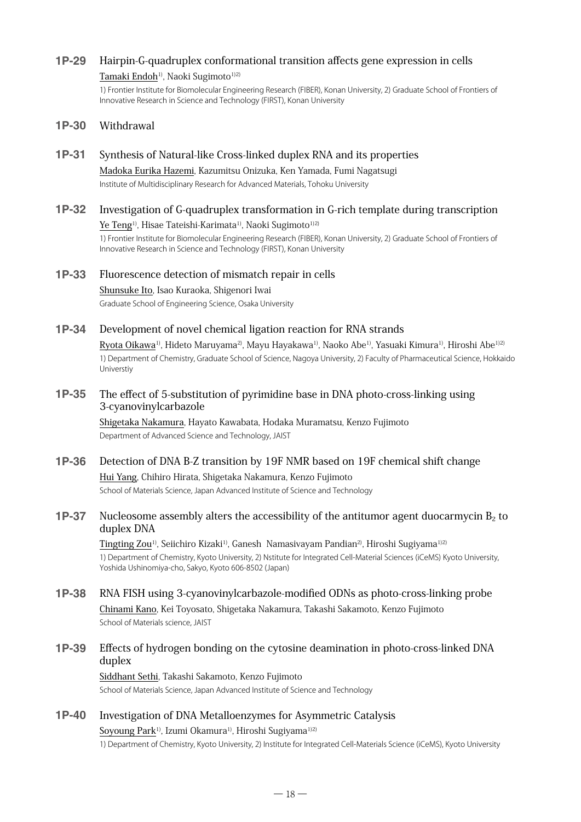#### **1P-29** Hairpin-G-quadruplex conformational transition affects gene expression in cells

#### Tamaki Endoh<sup>1)</sup>, Naoki Sugimoto<sup>1)2)</sup>

1) Frontier Institute for Biomolecular Engineering Research (FIBER), Konan University, 2) Graduate School of Frontiers of Innovative Research in Science and Technology (FIRST), Konan University

#### **1P-30** Withdrawal

- **1P-31** Synthesis of Natural-like Cross-linked duplex RNA and its properties Madoka Eurika Hazemi, Kazumitsu Onizuka, Ken Yamada, Fumi Nagatsugi Institute of Multidisciplinary Research for Advanced Materials, Tohoku University
- **1P-32** Investigation of G-quadruplex transformation in G-rich template during transcription

Ye Teng<sup>1)</sup>, Hisae Tateishi-Karimata<sup>1)</sup>, Naoki Sugimoto<sup>1)2)</sup>

1) Frontier Institute for Biomolecular Engineering Research (FIBER), Konan University, 2) Graduate School of Frontiers of Innovative Research in Science and Technology (FIRST), Konan University

#### **1P-33** Fluorescence detection of mismatch repair in cells

Shunsuke Ito, Isao Kuraoka, Shigenori Iwai Graduate School of Engineering Science, Osaka University

#### **1P-34** Development of novel chemical ligation reaction for RNA strands

Ryota Oikawa1), Hideto Maruyama2), Mayu Hayakawa1), Naoko Abe1), Yasuaki Kimura1), Hiroshi Abe1)2) 1) Department of Chemistry, Graduate School of Science, Nagoya University, 2) Faculty of Pharmaceutical Science, Hokkaido Universtiy

#### **1P-35** The effect of 5-substitution of pyrimidine base in DNA photo-cross-linking using 3-cyanovinylcarbazole

Shigetaka Nakamura, Hayato Kawabata, Hodaka Muramatsu, Kenzo Fujimoto Department of Advanced Science and Technology, JAIST

### **1P-36** Detection of DNA B-Z transition by 19F NMR based on 19F chemical shift change

Hui Yang, Chihiro Hirata, Shigetaka Nakamura, Kenzo Fujimoto School of Materials Science, Japan Advanced Institute of Science and Technology

#### **1P-37** Nucleosome assembly alters the accessibility of the antitumor agent duocarmycin  $B_2$  to duplex DNA

Tingting Zou<sup>1)</sup>, Seiichiro Kizaki<sup>1)</sup>, Ganesh Namasivayam Pandian<sup>2</sup>), Hiroshi Sugiyama<sup>1)2)</sup> 1) Department of Chemistry, Kyoto University, 2) Nstitute for Integrated Cell-Material Sciences (iCeMS) Kyoto University, Yoshida Ushinomiya-cho, Sakyo, Kyoto 606-8502 (Japan)

## **1P-38** RNA FISH using 3-cyanovinylcarbazole-modified ODNs as photo-cross-linking probe

Chinami Kano, Kei Toyosato, Shigetaka Nakamura, Takashi Sakamoto, Kenzo Fujimoto School of Materials science, JAIST

### **1P-39** Effects of hydrogen bonding on the cytosine deamination in photo-cross-linked DNA duplex

Siddhant Sethi, Takashi Sakamoto, Kenzo Fujimoto School of Materials Science, Japan Advanced Institute of Science and Technology

### **1P-40** Investigation of DNA Metalloenzymes for Asymmetric Catalysis

Soyoung Park<sup>1)</sup>, Izumi Okamura<sup>1)</sup>, Hiroshi Sugiyama<sup>1)2)</sup>

1) Department of Chemistry, Kyoto University, 2) Institute for Integrated Cell-Materials Science (iCeMS), Kyoto University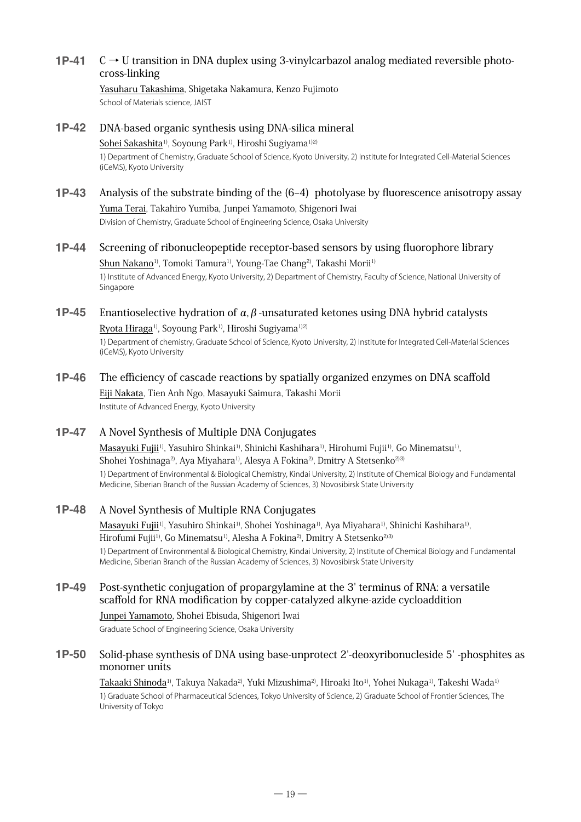## **1P-41**  $\mathbb{C} \rightarrow \mathbb{U}$  transition in DNA duplex using 3-vinylcarbazol analog mediated reversible photocross-linking

#### Yasuharu Takashima, Shigetaka Nakamura, Kenzo Fujimoto School of Materials science, JAIST

#### **1P-42** DNA-based organic synthesis using DNA-silica mineral

#### Sohei Sakashita<sup>1)</sup>, Soyoung Park<sup>1)</sup>, Hiroshi Sugiyama<sup>1)2)</sup>

1) Department of Chemistry, Graduate School of Science, Kyoto University, 2) Institute for Integrated Cell-Material Sciences (iCeMS), Kyoto University

## **1P-43** Analysis of the substrate binding of the (6–4) photolyase by fluorescence anisotropy assay Yuma Terai, Takahiro Yumiba, Junpei Yamamoto, Shigenori Iwai

Division of Chemistry, Graduate School of Engineering Science, Osaka University

## **1P-44** Screening of ribonucleopeptide receptor-based sensors by using fluorophore library Shun Nakano<sup>1)</sup>, Tomoki Tamura<sup>1)</sup>, Young-Tae Chang<sup>2)</sup>, Takashi Morii<sup>1)</sup>

1) Institute of Advanced Energy, Kyoto University, 2) Department of Chemistry, Faculty of Science, National University of Singapore

## **1P-45** Enantioselective hydration of  $\alpha, \beta$ -unsaturated ketones using DNA hybrid catalysts Ryota Hiraga<sup>1)</sup>, Soyoung Park<sup>1)</sup>, Hiroshi Sugiyama<sup>1)2)</sup>

1) Department of chemistry, Graduate School of Science, Kyoto University, 2) Institute for Integrated Cell-Material Sciences (iCeMS), Kyoto University

## **1P-46** The efficiency of cascade reactions by spatially organized enzymes on DNA scaffold

Eiji Nakata, Tien Anh Ngo, Masayuki Saimura, Takashi Morii Institute of Advanced Energy, Kyoto University

## **1P-47** A Novel Synthesis of Multiple DNA Conjugates

Masayuki Fujii<sup>1)</sup>, Yasuhiro Shinkai<sup>1)</sup>, Shinichi Kashihara<sup>1)</sup>, Hirohumi Fujii<sup>1)</sup>, Go Minematsu<sup>1)</sup>, Shohei Yoshinaga<sup>2</sup>, Aya Miyahara<sup>1</sup>, Alesya A Fokina<sup>2</sup>, Dmitry A Stetsenko<sup>2)3)</sup> 1) Department of Environmental & Biological Chemistry, Kindai University, 2) Institute of Chemical Biology and Fundamental Medicine, Siberian Branch of the Russian Academy of Sciences, 3) Novosibirsk State University

### **1P-48** A Novel Synthesis of Multiple RNA Conjugates

Masayuki Fujii<sup>1)</sup>, Yasuhiro Shinkai<sup>1)</sup>, Shohei Yoshinaga<sup>1)</sup>, Aya Miyahara<sup>1)</sup>, Shinichi Kashihara<sup>1)</sup>, Hirofumi Fujii<sup>1)</sup>, Go Minematsu<sup>1)</sup>, Alesha A Fokina<sup>2)</sup>, Dmitry A Stetsenko<sup>2)3)</sup> 1) Department of Environmental & Biological Chemistry, Kindai University, 2) Institute of Chemical Biology and Fundamental Medicine, Siberian Branch of the Russian Academy of Sciences, 3) Novosibirsk State University

## **1P-49** Post-synthetic conjugation of propargylamine at the 3' terminus of RNA: a versatile scaffold for RNA modification by copper-catalyzed alkyne-azide cycloaddition

Junpei Yamamoto, Shohei Ebisuda, Shigenori Iwai

Graduate School of Engineering Science, Osaka University

#### **1P-50** Solid-phase synthesis of DNA using base-unprotect 2'-deoxyribonucleside 5' -phosphites as monomer units

Takaaki Shinoda<sup>1)</sup>, Takuya Nakada<sup>2)</sup>, Yuki Mizushima<sup>2)</sup>, Hiroaki Ito<sup>1)</sup>, Yohei Nukaga<sup>1)</sup>, Takeshi Wada<sup>1)</sup> 1) Graduate School of Pharmaceutical Sciences, Tokyo University of Science, 2) Graduate School of Frontier Sciences, The University of Tokyo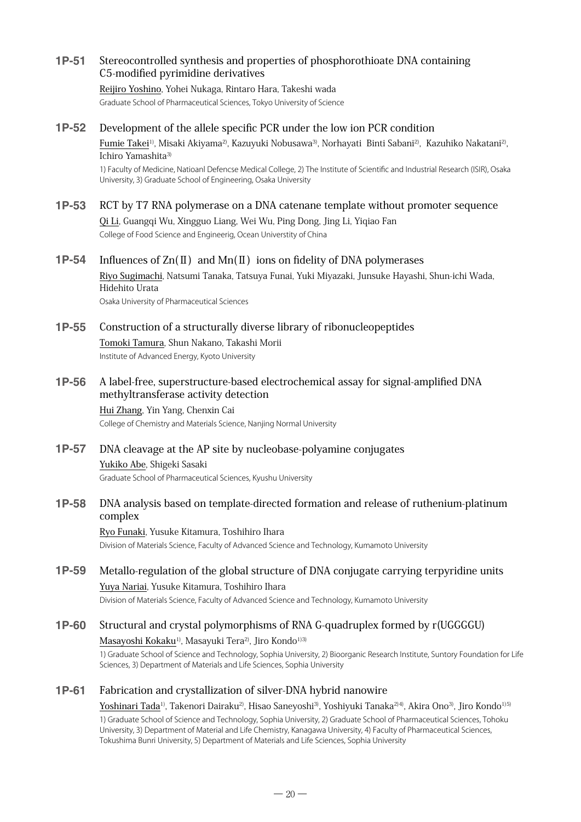### **1P-51** Stereocontrolled synthesis and properties of phosphorothioate DNA containing C5-modified pyrimidine derivatives

#### Reijiro Yoshino, Yohei Nukaga, Rintaro Hara, Takeshi wada

Graduate School of Pharmaceutical Sciences, Tokyo University of Science

#### **1P-52** Development of the allele specific PCR under the low ion PCR condition

Fumie Takei<sup>1)</sup>, Misaki Akiyama<sup>2)</sup>, Kazuyuki Nobusawa<sup>3)</sup>, Norhayati Binti Sabani<sup>2)</sup>, Kazuhiko Nakatani<sup>2)</sup>, Ichiro Yamashita<sup>3)</sup>

1) Faculty of Medicine, Natioanl Defencse Medical College, 2) The Institute of Scientific and Industrial Research (ISIR), Osaka University, 3) Graduate School of Engineering, Osaka University

**1P-53** RCT by T7 RNA polymerase on a DNA catenane template without promoter sequence Qi Li, Guangqi Wu, Xingguo Liang, Wei Wu, Ping Dong, Jing Li, Yiqiao Fan College of Food Science and Engineerig, Ocean Universtity of China

#### **1P-54** Influences of Zn(Ⅱ) and Mn(Ⅱ) ions on fidelity of DNA polymerases

Riyo Sugimachi, Natsumi Tanaka, Tatsuya Funai, Yuki Miyazaki, Junsuke Hayashi, Shun-ichi Wada, Hidehito Urata Osaka University of Pharmaceutical Sciences

**1P-55** Construction of a structurally diverse library of ribonucleopeptides Tomoki Tamura, Shun Nakano, Takashi Morii Institute of Advanced Energy, Kyoto University

### **1P-56** A label-free, superstructure-based electrochemical assay for signal-amplified DNA methyltransferase activity detection

Hui Zhang, Yin Yang, Chenxin Cai College of Chemistry and Materials Science, Nanjing Normal University

## **1P-57** DNA cleavage at the AP site by nucleobase-polyamine conjugates Yukiko Abe, Shigeki Sasaki Graduate School of Pharmaceutical Sciences, Kyushu University

#### **1P-58** DNA analysis based on template-directed formation and release of ruthenium-platinum complex

Ryo Funaki, Yusuke Kitamura, Toshihiro Ihara Division of Materials Science, Faculty of Advanced Science and Technology, Kumamoto University

## **1P-59** Metallo-regulation of the global structure of DNA conjugate carrying terpyridine units Yuya Nariai, Yusuke Kitamura, Toshihiro Ihara

Division of Materials Science, Faculty of Advanced Science and Technology, Kumamoto University

## **1P-60** Structural and crystal polymorphisms of RNA G-quadruplex formed by r(UGGGGU) Masayoshi Kokaku<sup>1)</sup>, Masayuki Tera<sup>2)</sup>, Jiro Kondo<sup>1)3)</sup>

1) Graduate School of Science and Technology, Sophia University, 2) Bioorganic Research Institute, Suntory Foundation for Life Sciences, 3) Department of Materials and Life Sciences, Sophia University

#### **1P-61** Fabrication and crystallization of silver-DNA hybrid nanowire

Yoshinari Tada<sup>1)</sup>, Takenori Dairaku<sup>2)</sup>, Hisao Saneyoshi<sup>3)</sup>, Yoshiyuki Tanaka<sup>2)4)</sup>, Akira Ono<sup>3)</sup>, Jiro Kondo<sup>1)5)</sup>

1) Graduate School of Science and Technology, Sophia University, 2) Graduate School of Pharmaceutical Sciences, Tohoku University, 3) Department of Material and Life Chemistry, Kanagawa University, 4) Faculty of Pharmaceutical Sciences, Tokushima Bunri University, 5) Department of Materials and Life Sciences, Sophia University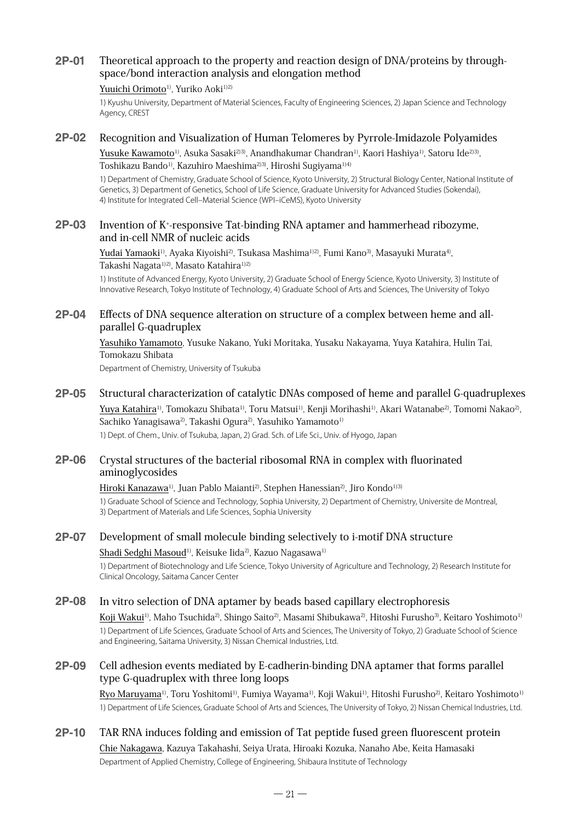#### **2P-01** Theoretical approach to the property and reaction design of DNA/proteins by throughspace/bond interaction analysis and elongation method

#### Yuuichi Orimoto<sup>1)</sup>, Yuriko Aoki<sup>1)2)</sup>

1) Kyushu University, Department of Material Sciences, Faculty of Engineering Sciences, 2) Japan Science and Technology Agency, CREST

#### **2P-02** Recognition and Visualization of Human Telomeres by Pyrrole-Imidazole Polyamides

Yusuke Kawamoto<sup>1)</sup>, Asuka Sasaki<sup>23)</sup>, Anandhakumar Chandran<sup>1)</sup>, Kaori Hashiya<sup>1)</sup>, Satoru Ide<sup>23)</sup>, Toshikazu Bando<sup>1)</sup>, Kazuhiro Maeshima<sup>2)3)</sup>, Hiroshi Sugiyama<sup>1)4)</sup>

1) Department of Chemistry, Graduate School of Science, Kyoto University, 2) Structural Biology Center, National Institute of Genetics, 3) Department of Genetics, School of Life Science, Graduate University for Advanced Studies (Sokendai), 4) Institute for Integrated Cell–Material Science (WPI–iCeMS), Kyoto University

#### **2P-03** Invention of K<sup>+</sup>-responsive Tat-binding RNA aptamer and hammerhead ribozyme, and in-cell NMR of nucleic acids

Yudai Yamaoki<sup>1)</sup>, Ayaka Kiyoishi<sup>2)</sup>, Tsukasa Mashima<sup>1)2)</sup>, Fumi Kano<sup>3)</sup>, Masayuki Murata<sup>4)</sup>, Takashi Nagata<sup>1)2)</sup>, Masato Katahira<sup>1)2)</sup>

1) Institute of Advanced Energy, Kyoto University, 2) Graduate School of Energy Science, Kyoto University, 3) Institute of Innovative Research, Tokyo Institute of Technology, 4) Graduate School of Arts and Sciences, The University of Tokyo

#### **2P-04** Effects of DNA sequence alteration on structure of a complex between heme and allparallel G-quadruplex

Yasuhiko Yamamoto, Yusuke Nakano, Yuki Moritaka, Yusaku Nakayama, Yuya Katahira, Hulin Tai, Tomokazu Shibata

Department of Chemistry, University of Tsukuba

#### **2P-05** Structural characterization of catalytic DNAs composed of heme and parallel G-quadruplexes

Yuya Katahira<sup>1)</sup>, Tomokazu Shibata<sup>1)</sup>, Toru Matsui<sup>1)</sup>, Kenji Morihashi<sup>1)</sup>, Akari Watanabe<sup>2)</sup>, Tomomi Nakao<sup>2</sup>, Sachiko Yanagisawa<sup>2)</sup>, Takashi Ogura<sup>2)</sup>, Yasuhiko Yamamoto<sup>1)</sup>

1) Dept. of Chem., Univ. of Tsukuba, Japan, 2) Grad. Sch. of Life Sci., Univ. of Hyogo, Japan

#### **2P-06** Crystal structures of the bacterial ribosomal RNA in complex with fluorinated aminoglycosides

#### Hiroki Kanazawa<sup>1)</sup>, Juan Pablo Maianti<sup>2)</sup>, Stephen Hanessian<sup>2)</sup>, Jiro Kondo<sup>1)3)</sup>

1) Graduate School of Science and Technology, Sophia University, 2) Department of Chemistry, Universite de Montreal, 3) Department of Materials and Life Sciences, Sophia University

### **2P-07** Development of small molecule binding selectively to i-motif DNA structure Shadi Sedghi Masoud<sup>1)</sup>, Keisuke Iida<sup>2)</sup>, Kazuo Nagasawa<sup>1)</sup>

1) Department of Biotechnology and Life Science, Tokyo University of Agriculture and Technology, 2) Research Institute for Clinical Oncology, Saitama Cancer Center

#### **2P-08** In vitro selection of DNA aptamer by beads based capillary electrophoresis

Koji Wakui<sup>1)</sup>, Maho Tsuchida<sup>2)</sup>, Shingo Saito<sup>2)</sup>, Masami Shibukawa<sup>2)</sup>, Hitoshi Furusho<sup>3)</sup>, Keitaro Yoshimoto<sup>1)</sup> 1) Department of Life Sciences, Graduate School of Arts and Sciences, The University of Tokyo, 2) Graduate School of Science and Engineering, Saitama University, 3) Nissan Chemical Industries, Ltd.

#### **2P-09** Cell adhesion events mediated by E-cadherin-binding DNA aptamer that forms parallel type G-quadruplex with three long loops

Ryo Maruyama<sup>1)</sup>, Toru Yoshitomi<sup>1)</sup>, Fumiya Wayama<sup>1)</sup>, Koji Wakui<sup>1)</sup>, Hitoshi Furusho<sup>2)</sup>, Keitaro Yoshimoto<sup>1)</sup> 1) Department of Life Sciences, Graduate School of Arts and Sciences, The University of Tokyo, 2) Nissan Chemical Industries, Ltd.

### **2P-10** TAR RNA induces folding and emission of Tat peptide fused green fluorescent protein

Chie Nakagawa, Kazuya Takahashi, Seiya Urata, Hiroaki Kozuka, Nanaho Abe, Keita Hamasaki Department of Applied Chemistry, College of Engineering, Shibaura Institute of Technology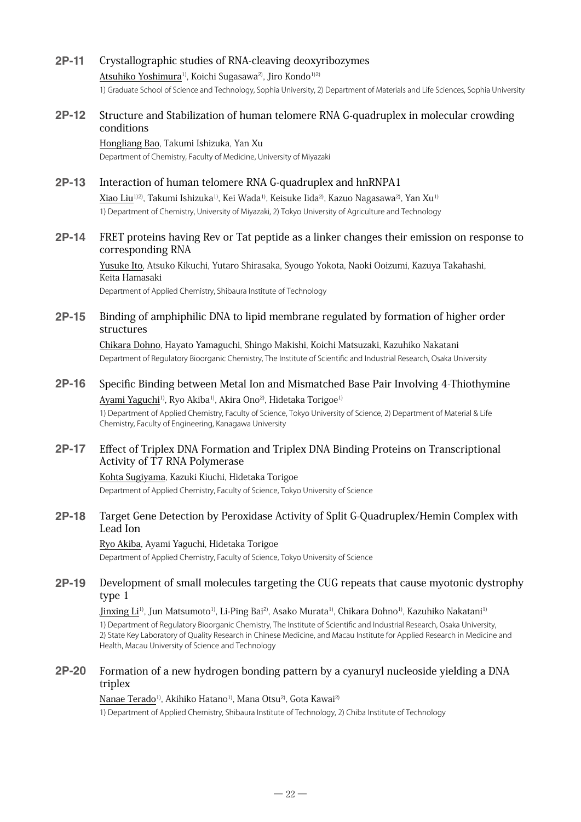#### **2P-11** Crystallographic studies of RNA-cleaving deoxyribozymes

Atsuhiko Yoshimura<sup>1)</sup>, Koichi Sugasawa<sup>2)</sup>, Jiro Kondo<sup>1)2)</sup> 1) Graduate School of Science and Technology, Sophia University, 2) Department of Materials and Life Sciences, Sophia University

#### **2P-12** Structure and Stabilization of human telomere RNA G-quadruplex in molecular crowding conditions

Hongliang Bao, Takumi Ishizuka, Yan Xu Department of Chemistry, Faculty of Medicine, University of Miyazaki

#### **2P-13** Interaction of human telomere RNA G-quadruplex and hnRNPA1

Xiao Liu<sup>1)2)</sup>, Takumi Ishizuka<sup>1)</sup>, Kei Wada<sup>1)</sup>, Keisuke Iida<sup>2)</sup>, Kazuo Nagasawa<sup>2)</sup>, Yan Xu<sup>1)</sup> 1) Department of Chemistry, University of Miyazaki, 2) Tokyo University of Agriculture and Technology

#### **2P-14** FRET proteins having Rev or Tat peptide as a linker changes their emission on response to corresponding RNA

Yusuke Ito, Atsuko Kikuchi, Yutaro Shirasaka, Syougo Yokota, Naoki Ooizumi, Kazuya Takahashi, Keita Hamasaki

Department of Applied Chemistry, Shibaura Institute of Technology

#### **2P-15** Binding of amphiphilic DNA to lipid membrane regulated by formation of higher order structures

Chikara Dohno, Hayato Yamaguchi, Shingo Makishi, Koichi Matsuzaki, Kazuhiko Nakatani Department of Regulatory Bioorganic Chemistry, The Institute of Scientific and Industrial Research, Osaka University

### **2P-16** Specific Binding between Metal Ion and Mismatched Base Pair Involving 4-Thiothymine Ayami Yaguchi<sup>1)</sup>, Ryo Akiba<sup>1)</sup>, Akira Ono<sup>2)</sup>, Hidetaka Torigoe<sup>1)</sup>

1) Department of Applied Chemistry, Faculty of Science, Tokyo University of Science, 2) Department of Material & Life Chemistry, Faculty of Engineering, Kanagawa University

#### **2P-17** Effect of Triplex DNA Formation and Triplex DNA Binding Proteins on Transcriptional Activity of T7 RNA Polymerase

Kohta Sugiyama, Kazuki Kiuchi, Hidetaka Torigoe Department of Applied Chemistry, Faculty of Science, Tokyo University of Science

### **2P-18** Target Gene Detection by Peroxidase Activity of Split G-Quadruplex/Hemin Complex with Lead Ion

Ryo Akiba, Ayami Yaguchi, Hidetaka Torigoe Department of Applied Chemistry, Faculty of Science, Tokyo University of Science

## **2P-19** Development of small molecules targeting the CUG repeats that cause myotonic dystrophy type 1

Jinxing Li<sup>1)</sup>, Jun Matsumoto<sup>1)</sup>, Li-Ping Bai<sup>2)</sup>, Asako Murata<sup>1)</sup>, Chikara Dohno<sup>1)</sup>, Kazuhiko Nakatani<sup>1)</sup> 1) Department of Regulatory Bioorganic Chemistry, The Institute of Scientific and Industrial Research, Osaka University, 2) State Key Laboratory of Quality Research in Chinese Medicine, and Macau Institute for Applied Research in Medicine and Health, Macau University of Science and Technology

#### **2P-20** Formation of a new hydrogen bonding pattern by a cyanuryl nucleoside yielding a DNA triplex

Nanae Terado<sup>1)</sup>, Akihiko Hatano<sup>1)</sup>, Mana Otsu<sup>2)</sup>, Gota Kawai<sup>2)</sup> 1) Department of Applied Chemistry, Shibaura Institute of Technology, 2) Chiba Institute of Technology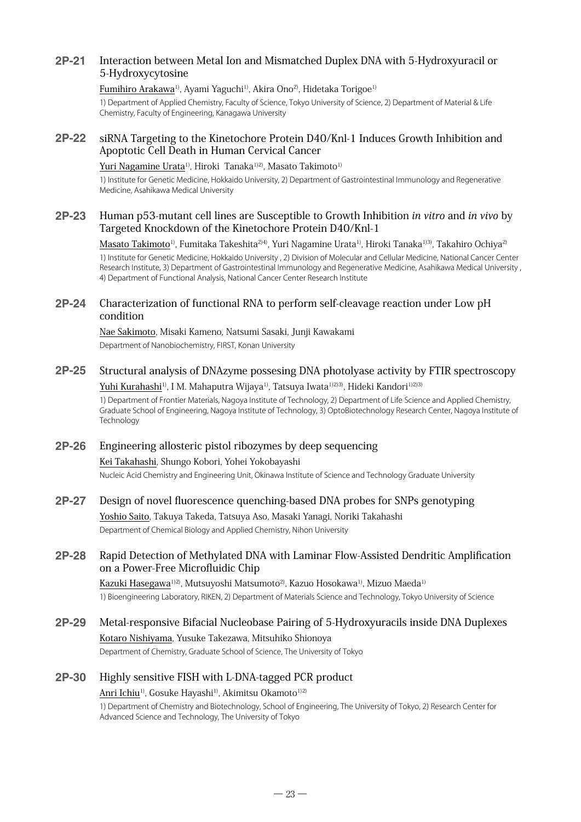## **2P-21** Interaction between Metal Ion and Mismatched Duplex DNA with 5-Hydroxyuracil or 5-Hydroxycytosine

#### Fumihiro Arakawa<sup>1)</sup>, Ayami Yaguchi<sup>1)</sup>, Akira Ono<sup>2)</sup>, Hidetaka Torigoe<sup>1)</sup>

1) Department of Applied Chemistry, Faculty of Science, Tokyo University of Science, 2) Department of Material & Life Chemistry, Faculty of Engineering, Kanagawa University

#### **2P-22** siRNA Targeting to the Kinetochore Protein D40/Knl-1 Induces Growth Inhibition and Apoptotic Cell Death in Human Cervical Cancer

#### Yuri Nagamine Urata<sup>1)</sup>, Hiroki Tanaka<sup>1)2)</sup>, Masato Takimoto<sup>1)</sup>

1) Institute for Genetic Medicine, Hokkaido University, 2) Department of Gastrointestinal Immunology and Regenerative Medicine, Asahikawa Medical University

#### **2P-23** Human p53-mutant cell lines are Susceptible to Growth Inhibition in vitro and in vivo by Targeted Knockdown of the Kinetochore Protein D40/Knl-1

Masato Takimoto<sup>1)</sup>, Fumitaka Takeshita<sup>2)4)</sup>, Yuri Nagamine Urata<sup>1)</sup>, Hiroki Tanaka<sup>1)3)</sup>, Takahiro Ochiya<sup>2)</sup> 1) Institute for Genetic Medicine, Hokkaido University , 2) Division of Molecular and Cellular Medicine, National Cancer Center Research Institute, 3) Department of Gastrointestinal Immunology and Regenerative Medicine, Asahikawa Medical University , 4) Department of Functional Analysis, National Cancer Center Research Institute

#### **2P-24** Characterization of functional RNA to perform self-cleavage reaction under Low pH condition

Nae Sakimoto, Misaki Kameno, Natsumi Sasaki, Junji Kawakami Department of Nanobiochemistry, FIRST, Konan University

### **2P-25** Structural analysis of DNAzyme possesing DNA photolyase activity by FTIR spectroscopy Yuhi Kurahashi<sup>1)</sup>, I M. Mahaputra Wijaya<sup>1)</sup>, Tatsuya Iwata<sup>1)2)3)</sup>, Hideki Kandori<sup>1)2)3)</sup>

1) Department of Frontier Materials, Nagoya Institute of Technology, 2) Department of Life Science and Applied Chemistry, Graduate School of Engineering, Nagoya Institute of Technology, 3) OptoBiotechnology Research Center, Nagoya Institute of Technology

## **2P-26** Engineering allosteric pistol ribozymes by deep sequencing Kei Takahashi, Shungo Kobori, Yohei Yokobayashi Nucleic Acid Chemistry and Engineering Unit, Okinawa Institute of Science and Technology Graduate University

#### **2P-27** Design of novel fluorescence quenching-based DNA probes for SNPs genotyping

Yoshio Saito, Takuya Takeda, Tatsuya Aso, Masaki Yanagi, Noriki Takahashi Department of Chemical Biology and Applied Chemistry, Nihon University

### **2P-28** Rapid Detection of Methylated DNA with Laminar Flow-Assisted Dendritic Amplification on a Power-Free Microfluidic Chip

Kazuki Hasegawa<sup>1)2)</sup>, Mutsuyoshi Matsumoto<sup>2)</sup>, Kazuo Hosokawa<sup>1)</sup>, Mizuo Maeda<sup>1)</sup> 1) Bioengineering Laboratory, RIKEN, 2) Department of Materials Science and Technology, Tokyo University of Science

**2P-29** Metal-responsive Bifacial Nucleobase Pairing of 5-Hydroxyuracils inside DNA Duplexes Kotaro Nishiyama, Yusuke Takezawa, Mitsuhiko Shionoya Department of Chemistry, Graduate School of Science, The University of Tokyo

## **2P-30** Highly sensitive FISH with L-DNA-tagged PCR product

#### Anri Ichiu<sup>1)</sup>, Gosuke Hayashi<sup>1)</sup>, Akimitsu Okamoto<sup>1)2)</sup>

1) Department of Chemistry and Biotechnology, School of Engineering, The University of Tokyo, 2) Research Center for Advanced Science and Technology, The University of Tokyo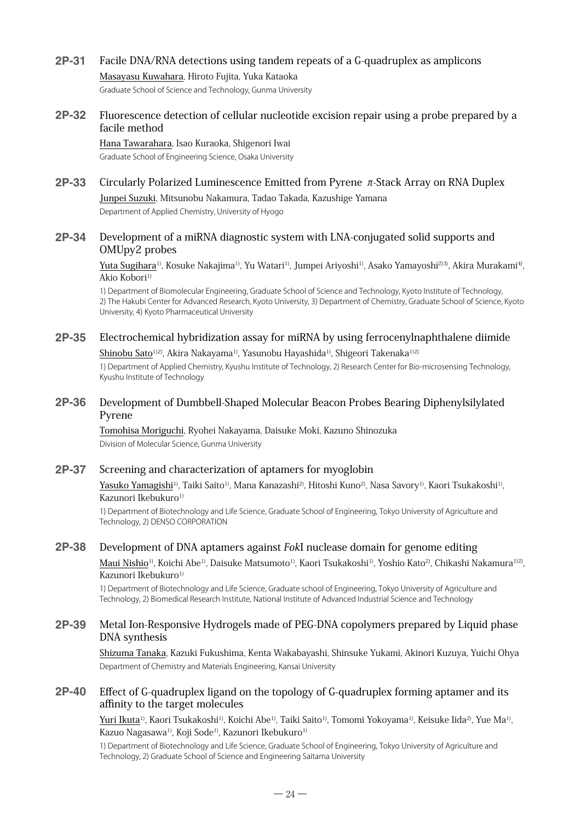#### **2P-31** Facile DNA/RNA detections using tandem repeats of a G-quadruplex as amplicons

Masayasu Kuwahara, Hiroto Fujita, Yuka Kataoka

Graduate School of Science and Technology, Gunma University

#### **2P-32** Fluorescence detection of cellular nucleotide excision repair using a probe prepared by a facile method

Hana Tawarahara, Isao Kuraoka, Shigenori Iwai Graduate School of Engineering Science, Osaka University

## **2P-33** Circularly Polarized Luminescence Emitted from Pyrene π-Stack Array on RNA Duplex Junpei Suzuki, Mitsunobu Nakamura, Tadao Takada, Kazushige Yamana

Department of Applied Chemistry, University of Hyogo

#### **2P-34** Development of a miRNA diagnostic system with LNA-conjugated solid supports and OMUpy2 probes

Yuta Sugihara<sup>1)</sup>, Kosuke Nakajima<sup>1)</sup>, Yu Watari<sup>1)</sup>, Jumpei Ariyoshi<sup>1)</sup>, Asako Yamayoshi<sup>2)3)</sup>, Akira Murakami<sup>4)</sup>, Akio Kobori<sup>1)</sup>

1) Department of Biomolecular Engineering, Graduate School of Science and Technology, Kyoto Institute of Technology, 2) The Hakubi Center for Advanced Research, Kyoto University, 3) Department of Chemistry, Graduate School of Science, Kyoto University, 4) Kyoto Pharmaceutical University

## **2P-35** Electrochemical hybridization assay for miRNA by using ferrocenylnaphthalene diimide

Shinobu Sato<sup>1)2)</sup>, Akira Nakayama<sup>1)</sup>, Yasunobu Hayashida<sup>1)</sup>, Shigeori Takenaka<sup>1)2)</sup>

1) Department of Applied Chemistry, Kyushu Institute of Technology, 2) Research Center for Bio-microsensing Technology, Kyushu Institute of Technology

#### **2P-36** Development of Dumbbell-Shaped Molecular Beacon Probes Bearing Diphenylsilylated Pyrene

Tomohisa Moriguchi, Ryohei Nakayama, Daisuke Moki, Kazuno Shinozuka Division of Molecular Science, Gunma University

#### **2P-37** Screening and characterization of aptamers for myoglobin

Yasuko Yamagishi<sup>1)</sup>, Taiki Saito<sup>1)</sup>, Mana Kanazashi<sup>2)</sup>, Hitoshi Kuno<sup>2)</sup>, Nasa Savory<sup>1)</sup>, Kaori Tsukakoshi<sup>1)</sup>, Kazunori Ikebukuro<sup>1)</sup>

1) Department of Biotechnology and Life Science, Graduate School of Engineering, Tokyo University of Agriculture and Technology, 2) DENSO CORPORATION

#### **2P-38** Development of DNA aptamers against FokI nuclease domain for genome editing

Maui Nishio<sup>1)</sup>, Koichi Abe<sup>1)</sup>, Daisuke Matsumoto<sup>1)</sup>, Kaori Tsukakoshi<sup>1)</sup>, Yoshio Kato<sup>2)</sup>, Chikashi Nakamura<sup>1)2)</sup>, Kazunori Ikebukuro<sup>1)</sup>

1) Department of Biotechnology and Life Science, Graduate school of Engineering, Tokyo University of Agriculture and Technology, 2) Biomedical Research Institute, National Institute of Advanced Industrial Science and Technology

#### **2P-39** Metal Ion-Responsive Hydrogels made of PEG-DNA copolymers prepared by Liquid phase DNA synthesis

Shizuma Tanaka, Kazuki Fukushima, Kenta Wakabayashi, Shinsuke Yukami, Akinori Kuzuya, Yuichi Ohya Department of Chemistry and Materials Engineering, Kansai University

#### **2P-40** Effect of G-quadruplex ligand on the topology of G-quadruplex forming aptamer and its affinity to the target molecules

Yuri Ikuta<sup>1)</sup>, Kaori Tsukakoshi<sup>1)</sup>, Koichi Abe<sup>1)</sup>, Taiki Saito<sup>1)</sup>, Tomomi Yokoyama<sup>1)</sup>, Keisuke Iida<sup>2)</sup>, Yue Ma<sup>1)</sup>, Kazuo Nagasawa<sup>1)</sup>, Koji Sode<sup>1)</sup>, Kazunori Ikebukuro<sup>1)</sup>

1) Department of Biotechnology and Life Science, Graduate School of Engineering, Tokyo University of Agriculture and Technology, 2) Graduate School of Science and Engineering Saitama University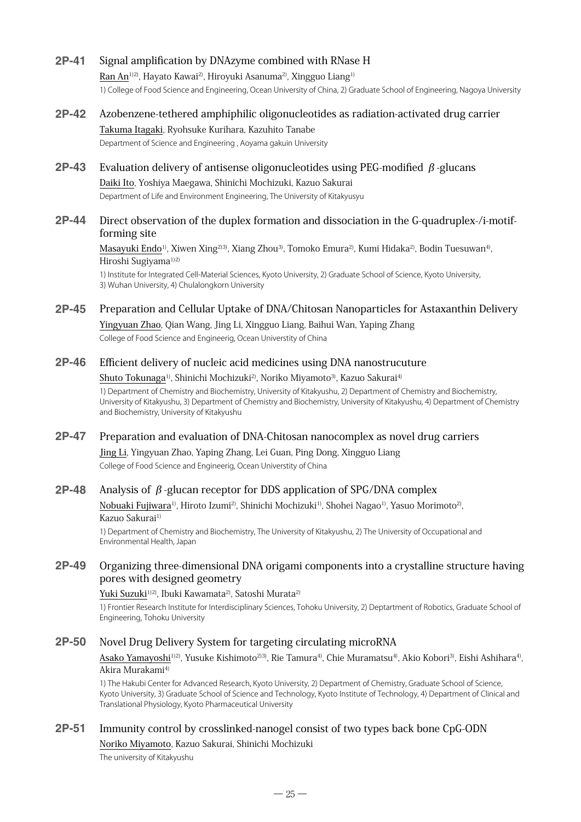#### **2P-41** Signal amplification by DNAzyme combined with RNase H

Ran An1)2), Hayato Kawai2), Hiroyuki Asanuma2), Xingguo Liang1) 1) College of Food Science and Engineering, Ocean University of China, 2) Graduate School of Engineering, Nagoya University

- **2P-42** Azobenzene-tethered amphiphilic oligonucleotides as radiation-activated drug carrier Takuma Itagaki, Ryohsuke Kurihara, Kazuhito Tanabe Department of Science and Engineering , Aoyama gakuin University
- **2P-43** Evaluation delivery of antisense oligonucleotides using PEG-modified β-glucans Daiki Ito, Yoshiya Maegawa, Shinichi Mochizuki, Kazuo Sakurai

Department of Life and Environment Engineering, The University of Kitakyusyu

#### **2P-44** Direct observation of the duplex formation and dissociation in the G-quadruplex-/i-motifforming site

Masayuki Endo<sup>1)</sup>, Xiwen Xing<sup>2)3)</sup>, Xiang Zhou<sup>3)</sup>, Tomoko Emura<sup>2)</sup>, Kumi Hidaka<sup>2)</sup>, Bodin Tuesuwan<sup>4)</sup>, Hiroshi Sugiyama<sup>1)2)</sup>

1) Institute for Integrated Cell-Material Sciences, Kyoto University, 2) Graduate School of Science, Kyoto University, 3) Wuhan University, 4) Chulalongkorn University

#### **2P-45** Preparation and Cellular Uptake of DNA/Chitosan Nanoparticles for Astaxanthin Delivery

Yingyuan Zhao, Qian Wang, Jing Li, Xingguo Liang, Baihui Wan, Yaping Zhang College of Food Science and Engineerig, Ocean Universtity of China

#### **2P-46** Efficient delivery of nucleic acid medicines using DNA nanostrucuture

#### Shuto Tokunaga<sup>1)</sup>, Shinichi Mochizuki<sup>2)</sup>, Noriko Miyamoto<sup>3)</sup>, Kazuo Sakurai<sup>4)</sup>

1) Department of Chemistry and Biochemistry, University of Kitakyushu, 2) Department of Chemistry and Biochemistry, University of Kitakyushu, 3) Department of Chemistry and Biochemistry, University of Kitakyushu, 4) Department of Chemistry and Biochemistry, University of Kitakyushu

#### **2P-47** Preparation and evaluation of DNA-Chitosan nanocomplex as novel drug carriers

Jing Li, Yingyuan Zhao, Yaping Zhang, Lei Guan, Ping Dong, Xingguo Liang College of Food Science and Engineerig, Ocean Universtity of China

#### **2P-48** Analysis of β-glucan receptor for DDS application of SPG/DNA complex

Nobuaki Fujiwara<sup>1)</sup>, Hiroto Izumi<sup>2)</sup>, Shinichi Mochizuki<sup>1)</sup>, Shohei Nagao<sup>1)</sup>, Yasuo Morimoto<sup>2</sup>), Kazuo Sakurai<sup>1)</sup>

1) Department of Chemistry and Biochemistry, The University of Kitakyushu, 2) The University of Occupational and Environmental Health, Japan

#### **2P-49** Organizing three-dimensional DNA origami components into a crystalline structure having pores with designed geometry

#### Yuki Suzuki<sup>1)2)</sup>, Ibuki Kawamata<sup>2)</sup>, Satoshi Murata<sup>2)</sup>

1) Frontier Research Institute for Interdisciplinary Sciences, Tohoku University, 2) Deptartment of Robotics, Graduate School of Engineering, Tohoku University

#### **2P-50** Novel Drug Delivery System for targeting circulating microRNA

Asako Yamayoshi<sup>1)2)</sup>, Yusuke Kishimoto<sup>2)3)</sup>, Rie Tamura<sup>4)</sup>, Chie Muramatsu<sup>4)</sup>, Akio Kobori<sup>3)</sup>, Eishi Ashihara<sup>4)</sup>, Akira Murakami4)

1) The Hakubi Center for Advanced Research, Kyoto University, 2) Department of Chemistry, Graduate School of Science, Kyoto University, 3) Graduate School of Science and Technology, Kyoto Institute of Technology, 4) Department of Clinical and Translational Physiology, Kyoto Pharmaceutical University

#### **2P-51** Immunity control by crosslinked-nanogel consist of two types back bone CpG-ODN

Noriko Miyamoto, Kazuo Sakurai, Shinichi Mochizuki

The university of Kitakyushu